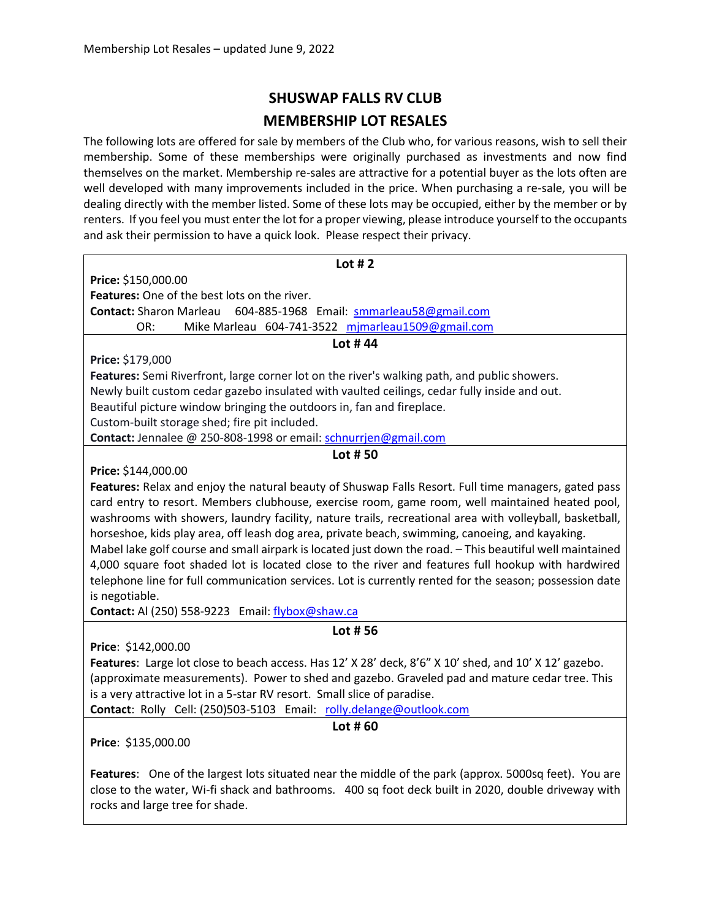# **SHUSWAP FALLS RV CLUB MEMBERSHIP LOT RESALES**

The following lots are offered for sale by members of the Club who, for various reasons, wish to sell their membership. Some of these memberships were originally purchased as investments and now find themselves on the market. Membership re-sales are attractive for a potential buyer as the lots often are well developed with many improvements included in the price. When purchasing a re-sale, you will be dealing directly with the member listed. Some of these lots may be occupied, either by the member or by renters. If you feel you must enter the lot for a proper viewing, please introduce yourself to the occupants and ask their permission to have a quick look. Please respect their privacy.

| Lot $#2$                                                                                                 |
|----------------------------------------------------------------------------------------------------------|
| Price: \$150,000.00                                                                                      |
| Features: One of the best lots on the river.                                                             |
| <b>Contact: Sharon Marleau</b><br>604-885-1968 Email: smmarleau58@gmail.com                              |
| Mike Marleau 604-741-3522 mjmarleau1509@gmail.com<br>OR:                                                 |
| Lot #44                                                                                                  |
| Price: \$179,000                                                                                         |
| Features: Semi Riverfront, large corner lot on the river's walking path, and public showers.             |
| Newly built custom cedar gazebo insulated with vaulted ceilings, cedar fully inside and out.             |
| Beautiful picture window bringing the outdoors in, fan and fireplace.                                    |
| Custom-built storage shed; fire pit included.                                                            |
| Contact: Jennalee @ 250-808-1998 or email: schnurrjen@gmail.com                                          |
| Lot #50                                                                                                  |
| Price: \$144,000.00                                                                                      |
| Features: Relax and enjoy the natural beauty of Shuswap Falls Resort. Full time managers, gated pass     |
| card entry to resort. Members clubhouse, exercise room, game room, well maintained heated pool,          |
| washrooms with showers, laundry facility, nature trails, recreational area with volleyball, basketball,  |
| horseshoe, kids play area, off leash dog area, private beach, swimming, canoeing, and kayaking.          |
| Mabel lake golf course and small airpark is located just down the road. - This beautiful well maintained |
| 4,000 square foot shaded lot is located close to the river and features full hookup with hardwired       |
| telephone line for full communication services. Lot is currently rented for the season; possession date  |
| is negotiable.                                                                                           |
| Contact: Al (250) 558-9223 Email: flybox@shaw.ca                                                         |
| Lot #56                                                                                                  |
| Price: \$142,000.00                                                                                      |
|                                                                                                          |
| Features: Large lot close to beach access. Has 12' X 28' deck, 8'6" X 10' shed, and 10' X 12' gazebo.    |
| (approximate measurements). Power to shed and gazebo. Graveled pad and mature cedar tree. This           |
| is a very attractive lot in a 5-star RV resort. Small slice of paradise.                                 |
| Contact: Rolly Cell: (250)503-5103 Email: rolly.delange@outlook.com                                      |
| Lot $#60$                                                                                                |
| Price: \$135,000.00                                                                                      |
|                                                                                                          |
| Features: One of the largest lots situated near the middle of the park (approx. 5000sq feet). You are    |
| close to the water, Wi-fi shack and bathrooms. 400 sq foot deck built in 2020, double driveway with      |

rocks and large tree for shade.